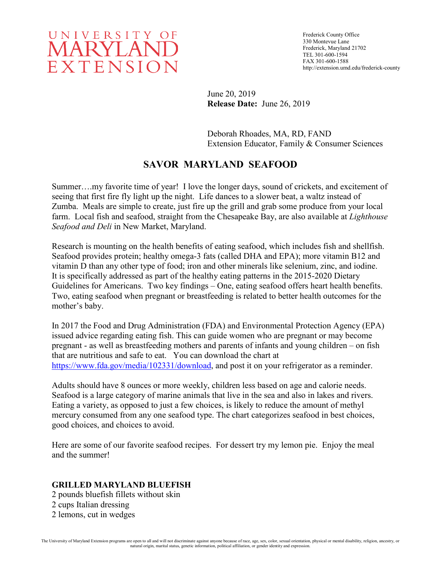

Frederick County Office 330 Montevue Lane Frederick, Maryland 21702 TEL 301-600-1594 FAX 301-600-1588 http://extension.umd.edu/frederick-county

June 20, 2019 **Release Date:** June 26, 2019

Deborah Rhoades, MA, RD, FAND Extension Educator, Family & Consumer Sciences

# **SAVOR MARYLAND SEAFOOD**

Summer….my favorite time of year! I love the longer days, sound of crickets, and excitement of seeing that first fire fly light up the night. Life dances to a slower beat, a waltz instead of Zumba. Meals are simple to create, just fire up the grill and grab some produce from your local farm. Local fish and seafood, straight from the Chesapeake Bay, are also available at *Lighthouse Seafood and Deli* in New Market, Maryland.

Research is mounting on the health benefits of eating seafood, which includes fish and shellfish. Seafood provides protein; healthy omega-3 fats (called DHA and EPA); more vitamin B12 and vitamin D than any other type of food; iron and other minerals like selenium, zinc, and iodine. It is specifically addressed as part of the healthy eating patterns in the 2015-2020 Dietary Guidelines for Americans. Two key findings – One, eating seafood offers heart health benefits. Two, eating seafood when pregnant or breastfeeding is related to better health outcomes for the mother's baby.

In 2017 the Food and Drug Administration (FDA) and Environmental Protection Agency (EPA) issued advice regarding eating fish. This can guide women who are pregnant or may become pregnant - as well as breastfeeding mothers and parents of infants and young children – on fish that are nutritious and safe to eat. You can download the chart at [https://www.fda.gov/media/102331/download,](https://www.fda.gov/media/102331/download) and post it on your refrigerator as a reminder.

Adults should have 8 ounces or more weekly, children less based on age and calorie needs. Seafood is a large category of marine animals that live in the sea and also in lakes and rivers. Eating a variety, as opposed to just a few choices, is likely to reduce the amount of methyl mercury consumed from any one seafood type. The chart categorizes seafood in best choices, good choices, and choices to avoid.

Here are some of our favorite seafood recipes. For dessert try my lemon pie. Enjoy the meal and the summer!

#### **GRILLED MARYLAND BLUEFISH**

2 pounds bluefish fillets without skin 2 cups Italian dressing 2 lemons, cut in wedges